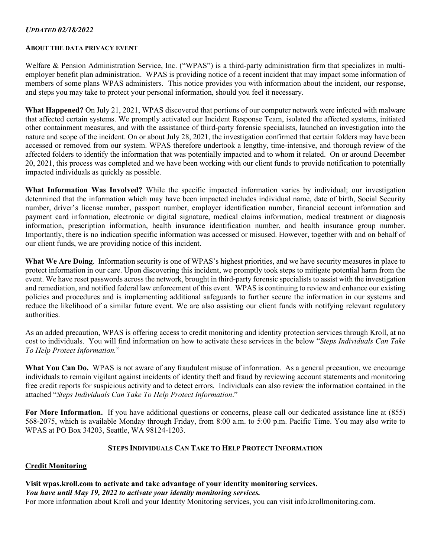## *UPDATED 02/18/2022*

#### **ABOUT THE DATA PRIVACY EVENT**

Welfare & Pension Administration Service, Inc. ("WPAS") is a third-party administration firm that specializes in multiemployer benefit plan administration. WPAS is providing notice of a recent incident that may impact some information of members of some plans WPAS administers. This notice provides you with information about the incident, our response, and steps you may take to protect your personal information, should you feel it necessary.

**What Happened?** On July 21, 2021, WPAS discovered that portions of our computer network were infected with malware that affected certain systems. We promptly activated our Incident Response Team, isolated the affected systems, initiated other containment measures, and with the assistance of third-party forensic specialists, launched an investigation into the nature and scope of the incident. On or about July 28, 2021, the investigation confirmed that certain folders may have been accessed or removed from our system. WPAS therefore undertook a lengthy, time-intensive, and thorough review of the affected folders to identify the information that was potentially impacted and to whom it related. On or around December 20, 2021, this process was completed and we have been working with our client funds to provide notification to potentially impacted individuals as quickly as possible.

**What Information Was Involved?** While the specific impacted information varies by individual; our investigation determined that the information which may have been impacted includes individual name, date of birth, Social Security number, driver's license number, passport number, employer identification number, financial account information and payment card information, electronic or digital signature, medical claims information, medical treatment or diagnosis information, prescription information, health insurance identification number, and health insurance group number. Importantly, there is no indication specific information was accessed or misused. However, together with and on behalf of our client funds, we are providing notice of this incident.

**What We Are Doing**. Information security is one of WPAS's highest priorities, and we have security measures in place to protect information in our care. Upon discovering this incident, we promptly took steps to mitigate potential harm from the event. We have reset passwords across the network, brought in third-party forensic specialists to assist with the investigation and remediation, and notified federal law enforcement of this event. WPAS is continuing to review and enhance our existing policies and procedures and is implementing additional safeguards to further secure the information in our systems and reduce the likelihood of a similar future event. We are also assisting our client funds with notifying relevant regulatory authorities.

As an added precaution, WPAS is offering access to credit monitoring and identity protection services through Kroll, at no cost to individuals. You will find information on how to activate these services in the below "*Steps Individuals Can Take To Help Protect Information.*"

What You Can Do. WPAS is not aware of any fraudulent misuse of information. As a general precaution, we encourage individuals to remain vigilant against incidents of identity theft and fraud by reviewing account statements and monitoring free credit reports for suspicious activity and to detect errors. Individuals can also review the information contained in the attached "*Steps Individuals Can Take To Help Protect Information*."

**For More Information.** If you have additional questions or concerns, please call our dedicated assistance line at (855) 568-2075, which is available Monday through Friday, from 8:00 a.m. to 5:00 p.m. Pacific Time. You may also write to WPAS at PO Box 34203, Seattle, WA 98124-1203.

## **STEPS INDIVIDUALS CAN TAKE TO HELP PROTECT INFORMATION**

## **Credit Monitoring**

# **Visit wpas.kroll.com to activate and take advantage of your identity monitoring services.**  *You have until May 19, 2022 to activate your identity monitoring services.*

For more information about Kroll and your Identity Monitoring services, you can visit info.krollmonitoring.com.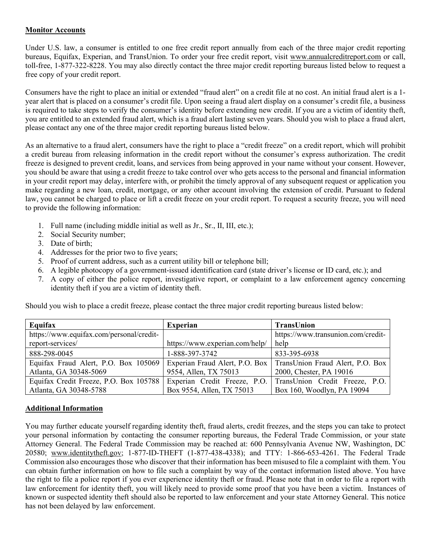#### **Monitor Accounts**

Under U.S. law, a consumer is entitled to one free credit report annually from each of the three major credit reporting bureaus, Equifax, Experian, and TransUnion. To order your free credit report, visit www.annualcreditreport.com or call, toll-free, 1-877-322-8228. You may also directly contact the three major credit reporting bureaus listed below to request a free copy of your credit report.

Consumers have the right to place an initial or extended "fraud alert" on a credit file at no cost. An initial fraud alert is a 1 year alert that is placed on a consumer's credit file. Upon seeing a fraud alert display on a consumer's credit file, a business is required to take steps to verify the consumer's identity before extending new credit. If you are a victim of identity theft, you are entitled to an extended fraud alert, which is a fraud alert lasting seven years. Should you wish to place a fraud alert, please contact any one of the three major credit reporting bureaus listed below.

As an alternative to a fraud alert, consumers have the right to place a "credit freeze" on a credit report, which will prohibit a credit bureau from releasing information in the credit report without the consumer's express authorization. The credit freeze is designed to prevent credit, loans, and services from being approved in your name without your consent. However, you should be aware that using a credit freeze to take control over who gets access to the personal and financial information in your credit report may delay, interfere with, or prohibit the timely approval of any subsequent request or application you make regarding a new loan, credit, mortgage, or any other account involving the extension of credit. Pursuant to federal law, you cannot be charged to place or lift a credit freeze on your credit report. To request a security freeze, you will need to provide the following information:

- 1. Full name (including middle initial as well as Jr., Sr., II, III, etc.);
- 2. Social Security number;
- 3. Date of birth;
- 4. Addresses for the prior two to five years;
- 5. Proof of current address, such as a current utility bill or telephone bill;
- 6. A legible photocopy of a government-issued identification card (state driver's license or ID card, etc.); and
- 7. A copy of either the police report, investigative report, or complaint to a law enforcement agency concerning identity theft if you are a victim of identity theft.

Should you wish to place a credit freeze, please contact the three major credit reporting bureaus listed below:

| Equifax                                  | <b>Experian</b>                | <b>TransUnion</b>                                                 |
|------------------------------------------|--------------------------------|-------------------------------------------------------------------|
| https://www.equifax.com/personal/credit- |                                | https://www.transunion.com/credit-                                |
| report-services/                         | https://www.experian.com/help/ | help                                                              |
| 888-298-0045                             | 1-888-397-3742                 | 833-395-6938                                                      |
| Equifax Fraud Alert, P.O. Box 105069     |                                | Experian Fraud Alert, P.O. Box   TransUnion Fraud Alert, P.O. Box |
| Atlanta, GA 30348-5069                   | 9554, Allen, TX 75013          | 2000, Chester, PA 19016                                           |
| Equifax Credit Freeze, P.O. Box 105788   |                                | Experian Credit Freeze, P.O. TransUnion Credit Freeze, P.O.       |
| Atlanta, GA 30348-5788                   | Box 9554, Allen, TX 75013      | Box 160, Woodlyn, PA 19094                                        |

## **Additional Information**

You may further educate yourself regarding identity theft, fraud alerts, credit freezes, and the steps you can take to protect your personal information by contacting the consumer reporting bureaus, the Federal Trade Commission, or your state Attorney General. The Federal Trade Commission may be reached at: 600 Pennsylvania Avenue NW, Washington, DC 20580; www.identitytheft.gov; 1-877-ID-THEFT (1-877-438-4338); and TTY: 1-866-653-4261. The Federal Trade Commission also encourages those who discover that their information has been misused to file a complaint with them. You can obtain further information on how to file such a complaint by way of the contact information listed above. You have the right to file a police report if you ever experience identity theft or fraud. Please note that in order to file a report with law enforcement for identity theft, you will likely need to provide some proof that you have been a victim. Instances of known or suspected identity theft should also be reported to law enforcement and your state Attorney General. This notice has not been delayed by law enforcement.